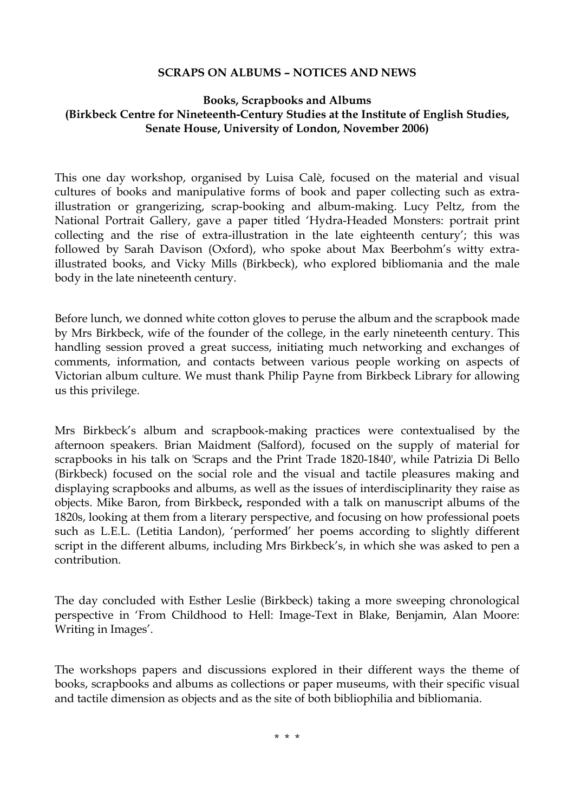## **SCRAPS ON ALBUMS – NOTICES AND NEWS**

## **Books, Scrapbooks and Albums (Birkbeck Centre for Nineteenth-Century Studies at the Institute of English Studies, Senate House, University of London, November 2006)**

This one day workshop, organised by Luisa Calè, focused on the material and visual cultures of books and manipulative forms of book and paper collecting such as extraillustration or grangerizing, scrap-booking and album-making. Lucy Peltz, from the National Portrait Gallery, gave a paper titled 'Hydra-Headed Monsters: portrait print collecting and the rise of extra-illustration in the late eighteenth century'; this was followed by Sarah Davison (Oxford), who spoke about Max Beerbohm's witty extraillustrated books, and Vicky Mills (Birkbeck), who explored bibliomania and the male body in the late nineteenth century.

Before lunch, we donned white cotton gloves to peruse the album and the scrapbook made by Mrs Birkbeck, wife of the founder of the college, in the early nineteenth century. This handling session proved a great success, initiating much networking and exchanges of comments, information, and contacts between various people working on aspects of Victorian album culture. We must thank Philip Payne from Birkbeck Library for allowing us this privilege.

Mrs Birkbeck's album and scrapbook-making practices were contextualised by the afternoon speakers. Brian Maidment (Salford), focused on the supply of material for scrapbooks in his talk on 'Scraps and the Print Trade 1820-1840', while Patrizia Di Bello (Birkbeck) focused on the social role and the visual and tactile pleasures making and displaying scrapbooks and albums, as well as the issues of interdisciplinarity they raise as objects. Mike Baron, from Birkbeck**,** responded with a talk on manuscript albums of the 1820s, looking at them from a literary perspective, and focusing on how professional poets such as L.E.L. (Letitia Landon), 'performed' her poems according to slightly different script in the different albums, including Mrs Birkbeck's, in which she was asked to pen a contribution.

The day concluded with Esther Leslie (Birkbeck) taking a more sweeping chronological perspective in 'From Childhood to Hell: Image-Text in Blake, Benjamin, Alan Moore: Writing in Images'.

The workshops papers and discussions explored in their different ways the theme of books, scrapbooks and albums as collections or paper museums, with their specific visual and tactile dimension as objects and as the site of both bibliophilia and bibliomania.

\* \* \*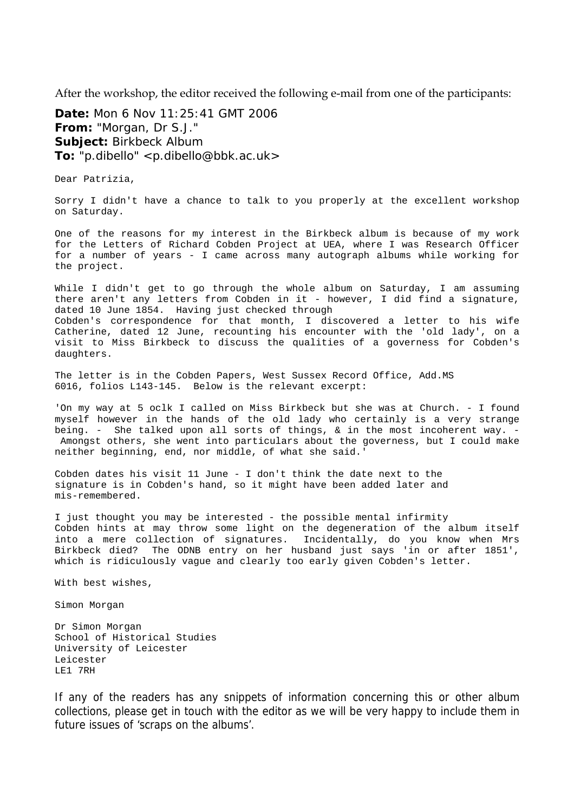After the workshop, the editor received the following e-mail from one of the participants:

**Date:** Mon 6 Nov 11:25:41 GMT 2006 **From:** "Morgan, Dr S.J." **Subject:** Birkbeck Album **To:** "p.dibello" <p.dibello@bbk.ac.uk>

Dear Patrizia,

Sorry I didn't have a chance to talk to you properly at the excellent workshop on Saturday.

One of the reasons for my interest in the Birkbeck album is because of my work for the Letters of Richard Cobden Project at UEA, where I was Research Officer for a number of years - I came across many autograph albums while working for the project.

While I didn't get to go through the whole album on Saturday, I am assuming there aren't any letters from Cobden in it - however, I did find a signature, dated 10 June 1854. Having just checked through Cobden's correspondence for that month, I discovered a letter to his wife Catherine, dated 12 June, recounting his encounter with the 'old lady', on a visit to Miss Birkbeck to discuss the qualities of a governess for Cobden's daughters.

The letter is in the Cobden Papers, West Sussex Record Office, Add.MS 6016, folios L143-145. Below is the relevant excerpt:

'On my way at 5 oclk I called on Miss Birkbeck but she was at Church. - I found myself however in the hands of the old lady who certainly is a very strange being. - She talked upon all sorts of things, & in the most incoherent way. - Amongst others, she went into particulars about the governess, but I could make neither beginning, end, nor middle, of what she said.'

Cobden dates his visit 11 June - I don't think the date next to the signature is in Cobden's hand, so it might have been added later and mis-remembered.

I just thought you may be interested - the possible mental infirmity Cobden hints at may throw some light on the degeneration of the album itself into a mere collection of signatures. Incidentally, do you know when Mrs Birkbeck died? The ODNB entry on her husband just says 'in or after 1851', which is ridiculously vague and clearly too early given Cobden's letter.

With best wishes,

Simon Morgan

Dr Simon Morgan School of Historical Studies University of Leicester Leicester LE1 7RH

If any of the readers has any snippets of information concerning this or other album collections, please get in touch with the editor as we will be very happy to include them in future issues of 'scraps on the albums'.